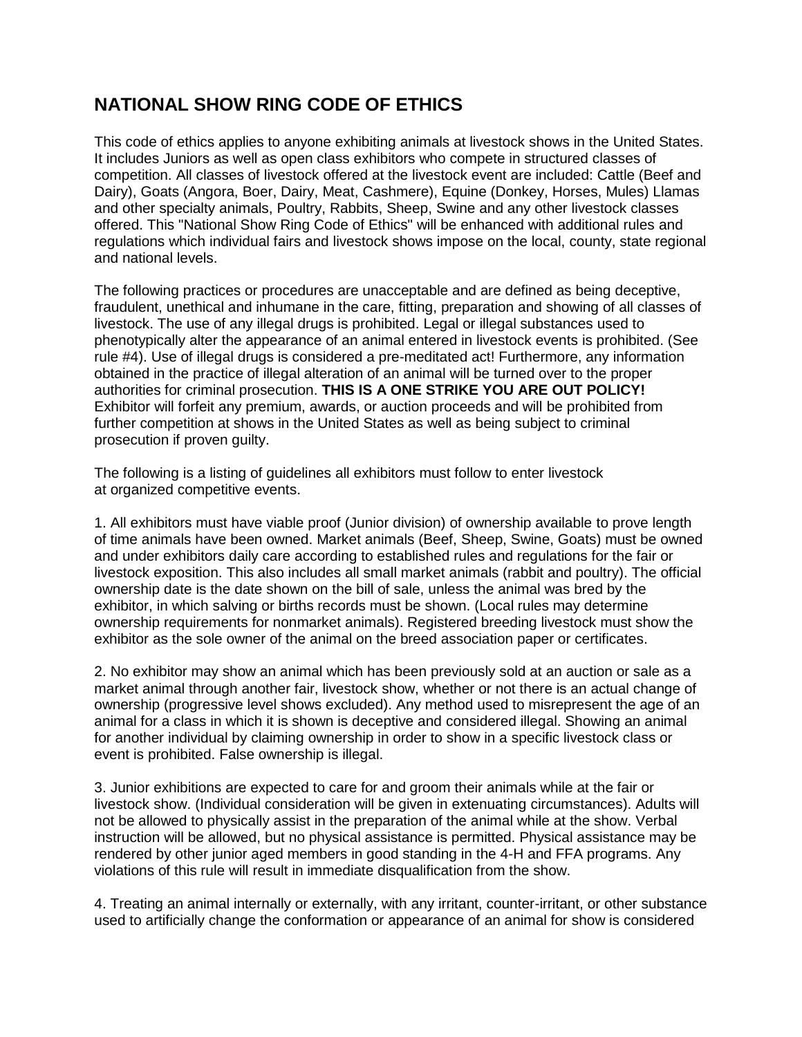## **NATIONAL SHOW RING CODE OF ETHICS**

This code of ethics applies to anyone exhibiting animals at livestock shows in the United States. It includes Juniors as well as open class exhibitors who compete in structured classes of competition. All classes of livestock offered at the livestock event are included: Cattle (Beef and Dairy), Goats (Angora, Boer, Dairy, Meat, Cashmere), Equine (Donkey, Horses, Mules) Llamas and other specialty animals, Poultry, Rabbits, Sheep, Swine and any other livestock classes offered. This "National Show Ring Code of Ethics" will be enhanced with additional rules and regulations which individual fairs and livestock shows impose on the local, county, state regional and national levels.

The following practices or procedures are unacceptable and are defined as being deceptive, fraudulent, unethical and inhumane in the care, fitting, preparation and showing of all classes of livestock. The use of any illegal drugs is prohibited. Legal or illegal substances used to phenotypically alter the appearance of an animal entered in livestock events is prohibited. (See rule #4). Use of illegal drugs is considered a pre-meditated act! Furthermore, any information obtained in the practice of illegal alteration of an animal will be turned over to the proper authorities for criminal prosecution. **THIS IS A ONE STRIKE YOU ARE OUT POLICY!**  Exhibitor will forfeit any premium, awards, or auction proceeds and will be prohibited from further competition at shows in the United States as well as being subject to criminal prosecution if proven guilty.

The following is a listing of guidelines all exhibitors must follow to enter livestock at organized competitive events.

1. All exhibitors must have viable proof (Junior division) of ownership available to prove length of time animals have been owned. Market animals (Beef, Sheep, Swine, Goats) must be owned and under exhibitors daily care according to established rules and regulations for the fair or livestock exposition. This also includes all small market animals (rabbit and poultry). The official ownership date is the date shown on the bill of sale, unless the animal was bred by the exhibitor, in which salving or births records must be shown. (Local rules may determine ownership requirements for nonmarket animals). Registered breeding livestock must show the exhibitor as the sole owner of the animal on the breed association paper or certificates.

2. No exhibitor may show an animal which has been previously sold at an auction or sale as a market animal through another fair, livestock show, whether or not there is an actual change of ownership (progressive level shows excluded). Any method used to misrepresent the age of an animal for a class in which it is shown is deceptive and considered illegal. Showing an animal for another individual by claiming ownership in order to show in a specific livestock class or event is prohibited. False ownership is illegal.

3. Junior exhibitions are expected to care for and groom their animals while at the fair or livestock show. (Individual consideration will be given in extenuating circumstances). Adults will not be allowed to physically assist in the preparation of the animal while at the show. Verbal instruction will be allowed, but no physical assistance is permitted. Physical assistance may be rendered by other junior aged members in good standing in the 4-H and FFA programs. Any violations of this rule will result in immediate disqualification from the show.

4. Treating an animal internally or externally, with any irritant, counter-irritant, or other substance used to artificially change the conformation or appearance of an animal for show is considered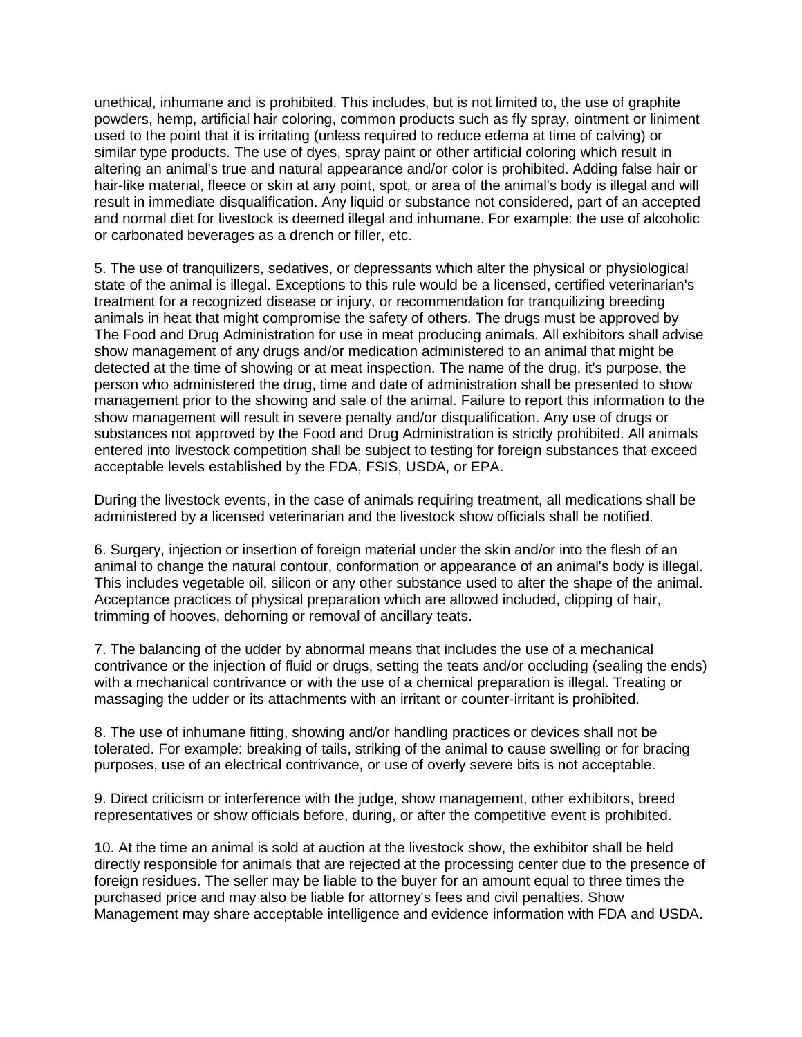unethical, inhumane and is prohibited. This includes, but is not limited to, the use of graphite powders, hemp, artificial hair coloring, common products such as fly spray, ointment or liniment used to the point that it is irritating (unless required to reduce edema at time of calving) or similar type products. The use of dyes, spray paint or other artificial coloring which result in altering an animal's true and natural appearance and/or color is prohibited. Adding false hair or hair-like material, fleece or skin at any point, spot, or area of the animal's body is illegal and will result in immediate disqualification. Any liquid or substance not considered, part of an accepted and normal diet for livestock is deemed illegal and inhumane. For example: the use of alcoholic or carbonated beverages as a drench or filler, etc.

5. The use of tranquilizers, sedatives, or depressants which alter the physical or physiological state of the animal is illegal. Exceptions to this rule would be a licensed, certified veterinarian's treatment for a recognized disease or injury, or recommendation for tranquilizing breeding animals in heat that might compromise the safety of others. The drugs must be approved by The Food and Drug Administration for use in meat producing animals. All exhibitors shall advise show management of any drugs and/or medication administered to an animal that might be detected at the time of showing or at meat inspection. The name of the drug, it's purpose, the person who administered the drug, time and date of administration shall be presented to show management prior to the showing and sale of the animal. Failure to report this information to the show management will result in severe penalty and/or disqualification. Any use of drugs or substances not approved by the Food and Drug Administration is strictly prohibited. All animals entered into livestock competition shall be subject to testing for foreign substances that exceed acceptable levels established by the FDA, FSIS, USDA, or EPA.

During the livestock events, in the case of animals requiring treatment, all medications shall be administered by a licensed veterinarian and the livestock show officials shall be notified.

6. Surgery, injection or insertion of foreign material under the skin and/or into the flesh of an animal to change the natural contour, conformation or appearance of an animal's body is illegal. This includes vegetable oil, silicon or any other substance used to alter the shape of the animal. Acceptance practices of physical preparation which are allowed included, clipping of hair, trimming of hooves, dehorning or removal of ancillary teats.

7. The balancing of the udder by abnormal means that includes the use of a mechanical contrivance or the injection of fluid or drugs, setting the teats and/or occluding (sealing the ends) with a mechanical contrivance or with the use of a chemical preparation is illegal. Treating or massaging the udder or its attachments with an irritant or counter-irritant is prohibited.

8. The use of inhumane fitting, showing and/or handling practices or devices shall not be tolerated. For example: breaking of tails, striking of the animal to cause swelling or for bracing purposes, use of an electrical contrivance, or use of overly severe bits is not acceptable.

9. Direct criticism or interference with the judge, show management, other exhibitors, breed representatives or show officials before, during, or after the competitive event is prohibited.

10. At the time an animal is sold at auction at the livestock show, the exhibitor shall be held directly responsible for animals that are rejected at the processing center due to the presence of foreign residues. The seller may be liable to the buyer for an amount equal to three times the purchased price and may also be liable for attorney's fees and civil penalties. Show Management may share acceptable intelligence and evidence information with FDA and USDA.